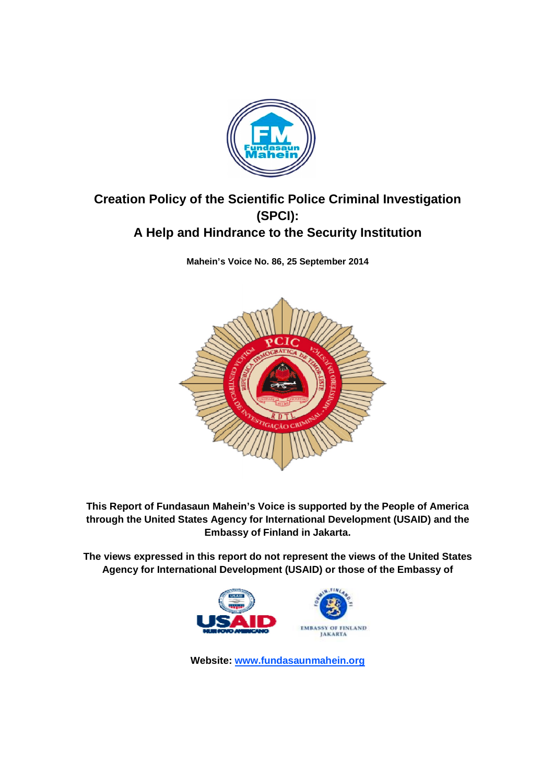

# Creation Policy of the Scientific Police Criminal Investigation<br>(SPCI): **A Help and Hindrance to the Security Institution**

**Mahein's Voice No. 86, 25 September 2014**



**This Report of Fundasaun Mahein's Voice is supported by the People of America through the United States Agency for International Development (USAID) and the Embassy of Finland in Jakarta. in** 

**The views expressed in this report do not represent the views of the United States Agency for International Development (USAID) or those of the Embassy of** 



**Website: www.fundasaunmahein.org**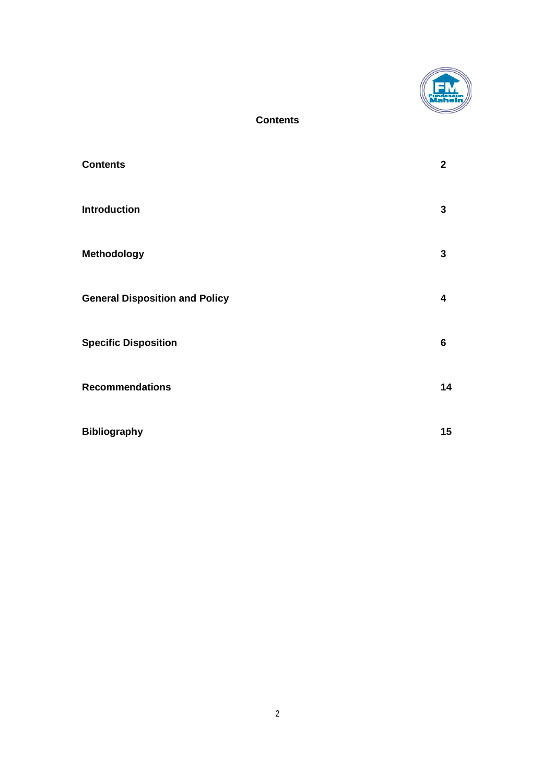

# **Contents**

| <b>Contents</b>                       | $\mathbf 2$ |
|---------------------------------------|-------------|
| <b>Introduction</b>                   | 3           |
| <b>Methodology</b>                    | 3           |
| <b>General Disposition and Policy</b> | 4           |
| <b>Specific Disposition</b>           | 6           |
| <b>Recommendations</b>                | 14          |
| <b>Bibliography</b>                   | 15          |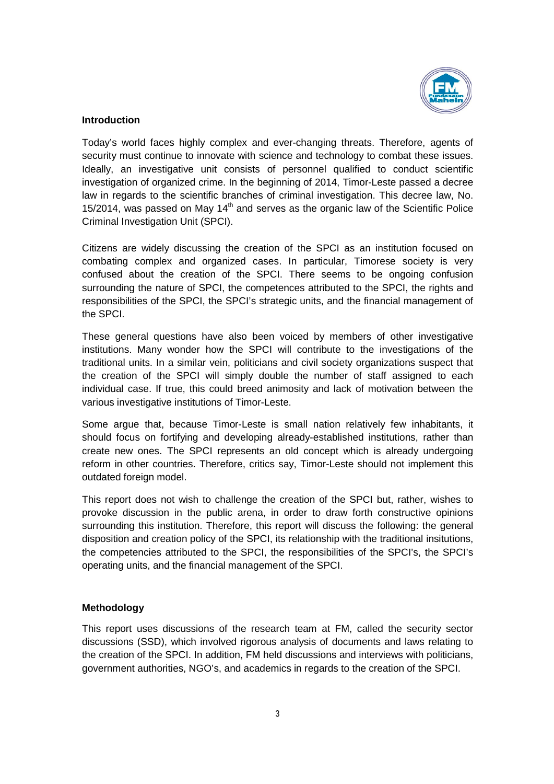

# **Introduction**

Today's world faces highly complex and ever-changing threats. Therefore, agents of security must continue to innovate with science and technology to combat these issues. Ideally, an investigative unit consists of personnel qualified to conduct scientific investigation of organized crime. In the beginning of 2014, Timor-Leste passed a decree law in regards to the scientific branches of criminal investigation. This decree law, No. 15/2014, was passed on May  $14<sup>th</sup>$  and serves as the organic law of the Scientific Police Criminal Investigation Unit (SPCI).

Citizens are widely discussing the creation of the SPCI as an institution focused on combating complex and organized cases. In particular, Timorese society is very confused about the creation of the SPCI. There seems to be ongoing confusion surrounding the nature of SPCI, the competences attributed to the SPCI, the rights and responsibilities of the SPCI, the SPCI's strategic units, and the financial management of the SPCI.

These general questions have also been voiced by members of other investigative institutions. Many wonder how the SPCI will contribute to the investigations of the traditional units. In a similar vein, politicians and civil society organizations suspect that the creation of the SPCI will simply double the number of staff assigned to each individual case. If true, this could breed animosity and lack of motivation between the various investigative institutions of Timor-Leste.

Some argue that, because Timor-Leste is small nation relatively few inhabitants, it should focus on fortifying and developing already-established institutions, rather than create new ones. The SPCI represents an old concept which is already undergoing reform in other countries. Therefore, critics say, Timor-Leste should not implement this outdated foreign model.

This report does not wish to challenge the creation of the SPCI but, rather, wishes to provoke discussion in the public arena, in order to draw forth constructive opinions surrounding this institution. Therefore, this report will discuss the following: the general disposition and creation policy of the SPCI, its relationship with the traditional insitutions, the competencies attributed to the SPCI, the responsibilities of the SPCI's, the SPCI's operating units, and the financial management of the SPCI.

# **Methodology**

This report uses discussions of the research team at FM, called the security sector discussions (SSD), which involved rigorous analysis of documents and laws relating to the creation of the SPCI. In addition, FM held discussions and interviews with politicians, government authorities, NGO's, and academics in regards to the creation of the SPCI.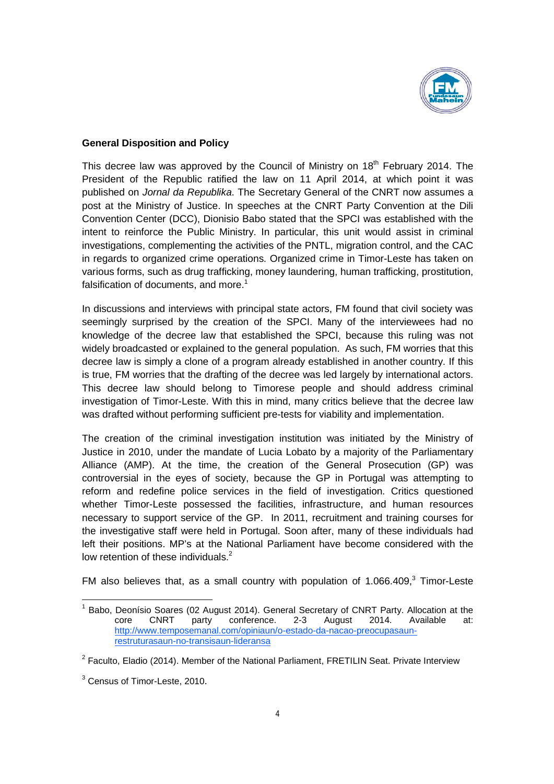

#### **General Disposition and Policy**

This decree law was approved by the Council of Ministry on 18<sup>th</sup> February 2014. The President of the Republic ratified the law on 11 April 2014, at which point it was published on *Jornal da Republika*. The Secretary General of the CNRT now assumes a post at the Ministry of Justice. In speeches at the CNRT Party Convention at the Dili Convention Center (DCC), Dionisio Babo stated that the SPCI was established with the intent to reinforce the Public Ministry. In particular, this unit would assist in criminal investigations, complementing the activities of the PNTL, migration control, and the CAC in regards to organized crime operations. Organized crime in Timor-Leste has taken on various forms, such as drug trafficking, money laundering, human trafficking, prostitution, falsification of documents, and more.<sup>1</sup>

In discussions and interviews with principal state actors, FM found that civil society was seemingly surprised by the creation of the SPCI. Many of the interviewees had no knowledge of the decree law that established the SPCI, because this ruling was not widely broadcasted or explained to the general population. As such, FM worries that this decree law is simply a clone of a program already established in another country. If this is true, FM worries that the drafting of the decree was led largely by international actors. This decree law should belong to Timorese people and should address criminal investigation of Timor-Leste. With this in mind, many critics believe that the decree law was drafted without performing sufficient pre-tests for viability and implementation.

The creation of the criminal investigation institution was initiated by the Ministry of Justice in 2010, under the mandate of Lucia Lobato by a majority of the Parliamentary Alliance (AMP). At the time, the creation of the General Prosecution (GP) was controversial in the eyes of society, because the GP in Portugal was attempting to reform and redefine police services in the field of investigation. Critics questioned whether Timor-Leste possessed the facilities, infrastructure, and human resources necessary to support service of the GP. In 2011, recruitment and training courses for the investigative staff were held in Portugal. Soon after, many of these individuals had left their positions. MP's at the National Parliament have become considered with the low retention of these individuals. $2^2$ 

FM also believes that, as a small country with population of  $1.066.409$ , Timor-Leste

 $<sup>1</sup>$  Babo. Deonísio Soares (02 August 2014). General Secretary of CNRT Party. Allocation at the</sup> core CNRT party conference. 2-3 August 2014. Available at: http://www.temposemanal.com/opiniaun/o-estado-da-nacao-preocupasaunrestruturasaun-no-transisaun-lideransa

 $2$  Faculto, Eladio (2014). Member of the National Parliament, FRETILIN Seat. Private Interview

<sup>&</sup>lt;sup>3</sup> Census of Timor-Leste, 2010.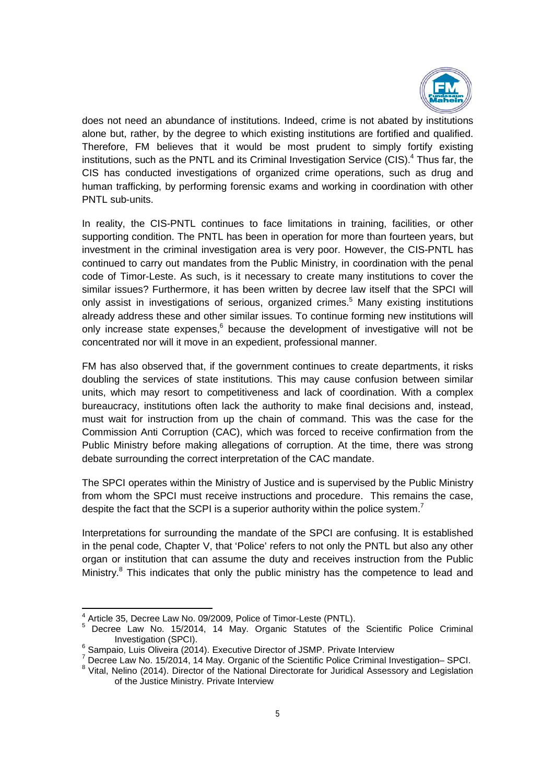

does not need an abundance of institutions. Indeed, crime is not abated by institutions alone but, rather, by the degree to which existing institutions are fortified and qualified. Therefore, FM believes that it would be most prudent to simply fortify existing institutions, such as the PNTL and its Criminal Investigation Service (CIS). $4$  Thus far, the CIS has conducted investigations of organized crime operations, such as drug and human trafficking, by performing forensic exams and working in coordination with other PNTL sub-units.

In reality, the CIS-PNTL continues to face limitations in training, facilities, or other supporting condition. The PNTL has been in operation for more than fourteen years, but investment in the criminal investigation area is very poor. However, the CIS-PNTL has continued to carry out mandates from the Public Ministry, in coordination with the penal code of Timor-Leste. As such, is it necessary to create many institutions to cover the similar issues? Furthermore, it has been written by decree law itself that the SPCI will only assist in investigations of serious, organized crimes. <sup>5</sup> Many existing institutions already address these and other similar issues. To continue forming new institutions will only increase state expenses,<sup>6</sup> because the development of investigative will not be concentrated nor will it move in an expedient, professional manner.

FM has also observed that, if the government continues to create departments, it risks doubling the services of state institutions. This may cause confusion between similar units, which may resort to competitiveness and lack of coordination. With a complex bureaucracy, institutions often lack the authority to make final decisions and, instead, must wait for instruction from up the chain of command. This was the case for the Commission Anti Corruption (CAC), which was forced to receive confirmation from the Public Ministry before making allegations of corruption. At the time, there was strong debate surrounding the correct interpretation of the CAC mandate.

The SPCI operates within the Ministry of Justice and is supervised by the Public Ministry from whom the SPCI must receive instructions and procedure. This remains the case, despite the fact that the SCPI is a superior authority within the police system.<sup>7</sup>

Interpretations for surrounding the mandate of the SPCI are confusing. It is established in the penal code, Chapter V, that 'Police' refers to not only the PNTL but also any other organ or institution that can assume the duty and receives instruction from the Public Ministry.<sup>8</sup> This indicates that only the public ministry has the competence to lead and

 $4$  Article 35, Decree Law No. 09/2009, Police of Timor-Leste (PNTL).<br>
<sup>5</sup> Decree Law No. 15/2014, 14 May. Organic Statutes of the Scientific Police Criminal Investigation (SPCI).<br><sup>6</sup> Sampaio, Luis Oliveira (2014). Executive Director of JSMP. Private Interview<br><sup>7</sup> Decree Law No. 15/2014, 14 May. Organic of the Scientific Police Criminal Investigation– SPCI.

<sup>&</sup>lt;sup>8</sup> Vital, Nelino (2014). Director of the National Directorate for Juridical Assessory and Legislation of the Justice Ministry. Private Interview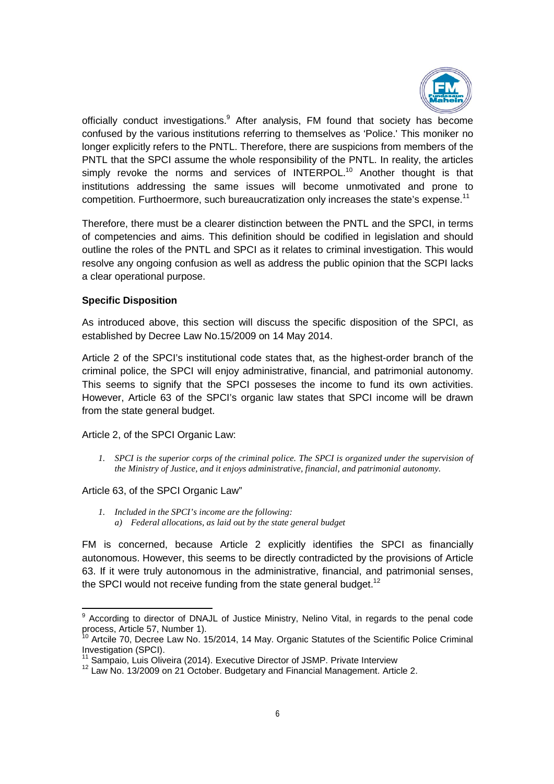

officially conduct investigations.<sup>9</sup> After analysis, FM found that society has become confused by the various institutions referring to themselves as 'Police.' This moniker no longer explicitly refers to the PNTL. Therefore, there are suspicions from members of the PNTL that the SPCI assume the whole responsibility of the PNTL. In reality, the articles simply revoke the norms and services of INTERPOL.<sup>10</sup> Another thought is that institutions addressing the same issues will become unmotivated and prone to competition. Furthoermore, such bureaucratization only increases the state's expense.<sup>11</sup>

Therefore, there must be a clearer distinction between the PNTL and the SPCI, in terms of competencies and aims. This definition should be codified in legislation and should outline the roles of the PNTL and SPCI as it relates to criminal investigation. This would resolve any ongoing confusion as well as address the public opinion that the SCPI lacks a clear operational purpose.

#### **Specific Disposition**

As introduced above, this section will discuss the specific disposition of the SPCI, as established by Decree Law No.15/2009 on 14 May 2014.

Article 2 of the SPCI's institutional code states that, as the highest-order branch of the criminal police, the SPCI will enjoy administrative, financial, and patrimonial autonomy. This seems to signify that the SPCI posseses the income to fund its own activities. However, Article 63 of the SPCI's organic law states that SPCI income will be drawn from the state general budget.

Article 2, of the SPCI Organic Law:

*1. SPCI is the superior corps of the criminal police. The SPCI is organized under the supervision of the Ministry of Justice, and it enjoys administrative, financial, and patrimonial autonomy.* 

Article 63, of the SPCI Organic Law"

*1. Included in the SPCI's income are the following: a) Federal allocations, as laid out by the state general budget*

FM is concerned, because Article 2 explicitly identifies the SPCI as financially autonomous. However, this seems to be directly contradicted by the provisions of Article 63. If it were truly autonomous in the administrative, financial, and patrimonial senses, the SPCI would not receive funding from the state general budget.<sup>12</sup>

 $9$  According to director of DNAJL of Justice Ministry, Nelino Vital, in regards to the penal code process, Article 57, Number 1).

Artcile 70, Decree Law No. 15/2014, 14 May. Organic Statutes of the Scientific Police Criminal

Investigation (SPCI).<br><sup>11</sup> Sampaio, Luis Oliveira (2014). Executive Director of JSMP. Private Interview 12 Law No. 13/2009 on 21 October. Budgetary and Financial Management. Article 2.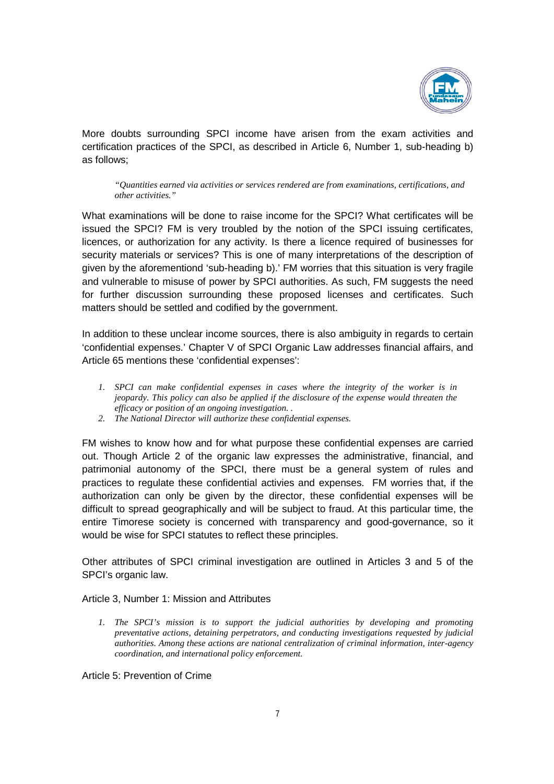

More doubts surrounding SPCI income have arisen from the exam activities and certification practices of the SPCI, as described in Article 6, Number 1, sub-heading b) as follows;

*"Quantities earned via activities or services rendered are from examinations, certifications, and other activities."*

What examinations will be done to raise income for the SPCI? What certificates will be issued the SPCI? FM is very troubled by the notion of the SPCI issuing certificates, licences, or authorization for any activity. Is there a licence required of businesses for security materials or services? This is one of many interpretations of the description of given by the aforementiond 'sub-heading b).' FM worries that this situation is very fragile and vulnerable to misuse of power by SPCI authorities. As such, FM suggests the need for further discussion surrounding these proposed licenses and certificates. Such matters should be settled and codified by the government.

In addition to these unclear income sources, there is also ambiguity in regards to certain 'confidential expenses.' Chapter V of SPCI Organic Law addresses financial affairs, and Article 65 mentions these 'confidential expenses':

- *1. SPCI can make confidential expenses in cases where the integrity of the worker is in jeopardy. This policy can also be applied if the disclosure of the expense would threaten the efficacy or position of an ongoing investigation. .*
- *2. The National Director will authorize these confidential expenses.*

FM wishes to know how and for what purpose these confidential expenses are carried out. Though Article 2 of the organic law expresses the administrative, financial, and patrimonial autonomy of the SPCI, there must be a general system of rules and practices to regulate these confidential activies and expenses. FM worries that, if the authorization can only be given by the director, these confidential expenses will be difficult to spread geographically and will be subject to fraud. At this particular time, the entire Timorese society is concerned with transparency and good-governance, so it would be wise for SPCI statutes to reflect these principles.

Other attributes of SPCI criminal investigation are outlined in Articles 3 and 5 of the SPCI's organic law.

Article 3, Number 1: Mission and Attributes

*1. The SPCI's mission is to support the judicial authorities by developing and promoting preventative actions, detaining perpetrators, and conducting investigations requested by judicial authorities. Among these actions are national centralization of criminal information, inter-agency coordination, and international policy enforcement.* 

Article 5: Prevention of Crime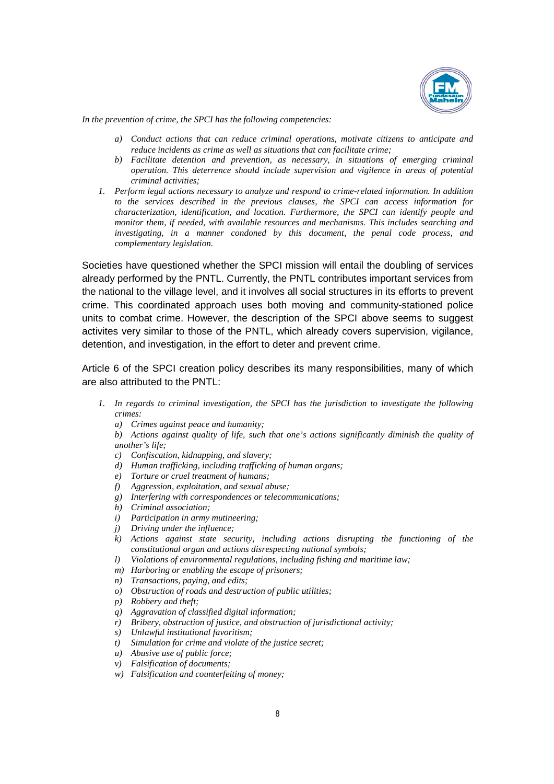

*In the prevention of crime, the SPCI has the following competencies:*

- *a) Conduct actions that can reduce criminal operations, motivate citizens to anticipate and reduce incidents as crime as well as situations that can facilitate crime;*
- *b) Facilitate detention and prevention, as necessary, in situations of emerging criminal operation. This deterrence should include supervision and vigilence in areas of potential criminal activities;*
- *1. Perform legal actions necessary to analyze and respond to crime-related information. In addition to the services described in the previous clauses, the SPCI can access information for characterization, identification, and location. Furthermore, the SPCI can identify people and monitor them, if needed, with available resources and mechanisms. This includes searching and investigating, in a manner condoned by this document, the penal code process, and complementary legislation.*

Societies have questioned whether the SPCI mission will entail the doubling of services already performed by the PNTL. Currently, the PNTL contributes important services from the national to the village level, and it involves all social structures in its efforts to prevent crime. This coordinated approach uses both moving and community-stationed police units to combat crime. However, the description of the SPCI above seems to suggest activites very similar to those of the PNTL, which already covers supervision, vigilance, detention, and investigation, in the effort to deter and prevent crime.

Article 6 of the SPCI creation policy describes its many responsibilities, many of which are also attributed to the PNTL:

- *1. In regards to criminal investigation, the SPCI has the jurisdiction to investigate the following crimes:*
	- *a) Crimes against peace and humanity;*
	- *b) Actions against quality of life, such that one's actions significantly diminish the quality of another's life;*
	- *c) Confiscation, kidnapping, and slavery;*
	- *d) Human trafficking, including trafficking of human organs;*
	- *e) Torture or cruel treatment of humans;*
	- *f) Aggression, exploitation, and sexual abuse;*
	- *g) Interfering with correspondences or telecommunications;*
	- *h) Criminal association;*
	- *i) Participation in army mutineering;*
	- *j) Driving under the influence;*
	- *k) Actions against state security, including actions disrupting the functioning of the constitutional organ and actions disrespecting national symbols;*
	- *l) Violations of environmental regulations, including fishing and maritime law;*
	- *m) Harboring or enabling the escape of prisoners;*
	- *n) Transactions, paying, and edits;*
	- *o) Obstruction of roads and destruction of public utilities;*
	- *p) Robbery and theft;*
	- *q) Aggravation of classified digital information;*
	- *r) Bribery, obstruction of justice, and obstruction of jurisdictional activity;*
	- *s) Unlawful institutional favoritism;*
	- *t) Simulation for crime and violate of the justice secret;*
	- *u) Abusive use of public force;*
	- *v) Falsification of documents;*
	- *w) Falsification and counterfeiting of money;*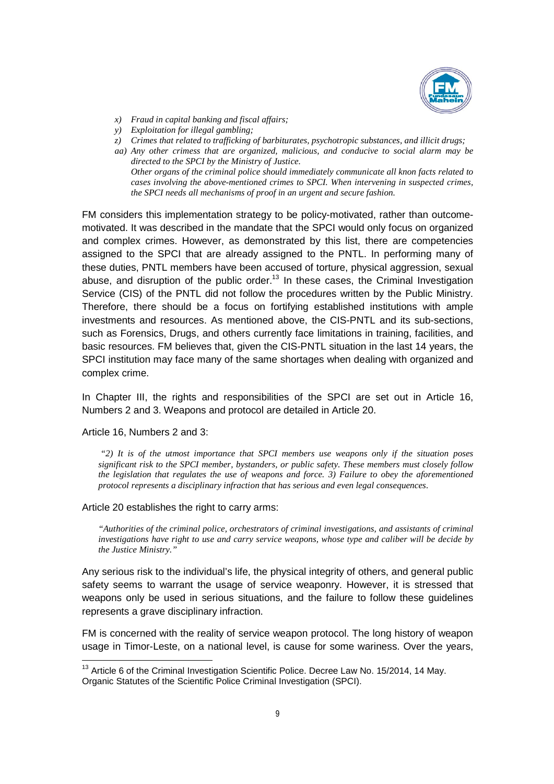

- *x) Fraud in capital banking and fiscal affairs;*
- *y) Exploitation for illegal gambling;*
- *z) Crimes that related to trafficking of barbiturates, psychotropic substances, and illicit drugs;*
- *aa) Any other crimess that are organized, malicious, and conducive to social alarm may be directed to the SPCI by the Ministry of Justice. Other organs of the criminal police should immediately communicate all knon facts related to cases involving the above-mentioned crimes to SPCI. When intervening in suspected crimes, the SPCI needs all mechanisms of proof in an urgent and secure fashion.*

FM considers this implementation strategy to be policy-motivated, rather than outcomemotivated. It was described in the mandate that the SPCI would only focus on organized and complex crimes. However, as demonstrated by this list, there are competencies assigned to the SPCI that are already assigned to the PNTL. In performing many of these duties, PNTL members have been accused of torture, physical aggression, sexual abuse, and disruption of the public order.<sup>13</sup> In these cases, the Criminal Investigation Service (CIS) of the PNTL did not follow the procedures written by the Public Ministry. Therefore, there should be a focus on fortifying established institutions with ample investments and resources. As mentioned above, the CIS-PNTL and its sub-sections, such as Forensics, Drugs, and others currently face limitations in training, facilities, and basic resources. FM believes that, given the CIS-PNTL situation in the last 14 years, the SPCI institution may face many of the same shortages when dealing with organized and complex crime.

In Chapter III, the rights and responsibilities of the SPCI are set out in Article 16, Numbers 2 and 3. Weapons and protocol are detailed in Article 20.

#### Article 16, Numbers 2 and 3:

*"2) It is of the utmost importance that SPCI members use weapons only if the situation poses significant risk to the SPCI member, bystanders, or public safety. These members must closely follow the legislation that regulates the use of weapons and force. 3) Failure to obey the aforementioned protocol represents a disciplinary infraction that has serious and even legal consequences.* 

#### Article 20 establishes the right to carry arms:

*"Authorities of the criminal police, orchestrators of criminal investigations, and assistants of criminal investigations have right to use and carry service weapons, whose type and caliber will be decide by the Justice Ministry."* 

Any serious risk to the individual's life, the physical integrity of others, and general public safety seems to warrant the usage of service weaponry. However, it is stressed that weapons only be used in serious situations, and the failure to follow these guidelines represents a grave disciplinary infraction.

FM is concerned with the reality of service weapon protocol. The long history of weapon usage in Timor-Leste, on a national level, is cause for some wariness. Over the years,

<sup>&</sup>lt;sup>13</sup> Article 6 of the Criminal Investigation Scientific Police. Decree Law No. 15/2014, 14 May. Organic Statutes of the Scientific Police Criminal Investigation (SPCI).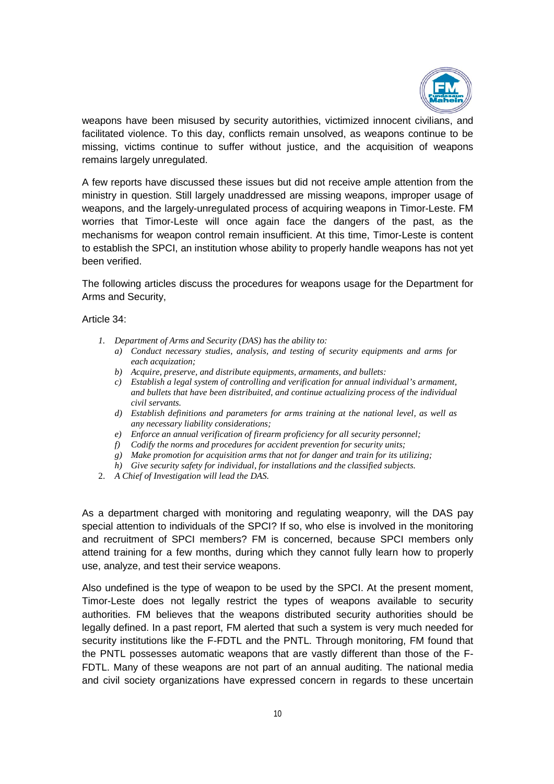

weapons have been misused by security autorithies, victimized innocent civilians, and facilitated violence. To this day, conflicts remain unsolved, as weapons continue to be missing, victims continue to suffer without justice, and the acquisition of weapons remains largely unregulated.

A few reports have discussed these issues but did not receive ample attention from the ministry in question. Still largely unaddressed are missing weapons, improper usage of weapons, and the largely-unregulated process of acquiring weapons in Timor-Leste. FM worries that Timor-Leste will once again face the dangers of the past, as the mechanisms for weapon control remain insufficient. At this time, Timor-Leste is content to establish the SPCI, an institution whose ability to properly handle weapons has not yet been verified.

The following articles discuss the procedures for weapons usage for the Department for Arms and Security,

Article 34:

- *1. Department of Arms and Security (DAS) has the ability to:*
	- *a) Conduct necessary studies, analysis, and testing of security equipments and arms for each acquization;*
	- *b) Acquire, preserve, and distribute equipments, armaments, and bullets:*
	- *c) Establish a legal system of controlling and verification for annual individual's armament, and bullets that have been distribuited, and continue actualizing process of the individual civil servants.*
	- *d) Establish definitions and parameters for arms training at the national level, as well as any necessary liability considerations;*
	- *e) Enforce an annual verification of firearm proficiency for all security personnel;*
	- *f) Codify the norms and procedures for accident prevention for security units;*
	- *g) Make promotion for acquisition arms that not for danger and train for its utilizing;*
	- *h) Give security safety for individual, for installations and the classified subjects.*
- 2. *A Chief of Investigation will lead the DAS.*

As a department charged with monitoring and regulating weaponry, will the DAS pay special attention to individuals of the SPCI? If so, who else is involved in the monitoring and recruitment of SPCI members? FM is concerned, because SPCI members only attend training for a few months, during which they cannot fully learn how to properly use, analyze, and test their service weapons.

Also undefined is the type of weapon to be used by the SPCI. At the present moment, Timor-Leste does not legally restrict the types of weapons available to security authorities. FM believes that the weapons distributed security authorities should be legally defined. In a past report, FM alerted that such a system is very much needed for security institutions like the F-FDTL and the PNTL. Through monitoring, FM found that the PNTL possesses automatic weapons that are vastly different than those of the F-FDTL. Many of these weapons are not part of an annual auditing. The national media and civil society organizations have expressed concern in regards to these uncertain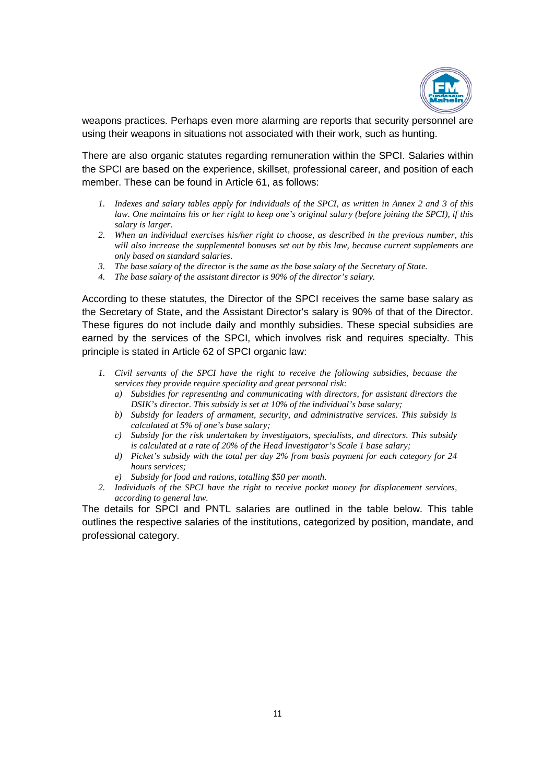

weapons practices. Perhaps even more alarming are reports that security personnel are using their weapons in situations not associated with their work, such as hunting.

There are also organic statutes regarding remuneration within the SPCI. Salaries within the SPCI are based on the experience, skillset, professional career, and position of each member. These can be found in Article 61, as follows:

- *1. Indexes and salary tables apply for individuals of the SPCI, as written in Annex 2 and 3 of this law. One maintains his or her right to keep one's original salary (before joining the SPCI), if this salary is larger.*
- *2. When an individual exercises his/her right to choose, as described in the previous number, this will also increase the supplemental bonuses set out by this law, because current supplements are only based on standard salaries.*
- *3. The base salary of the director is the same as the base salary of the Secretary of State.*
- *4. The base salary of the assistant director is 90% of the director's salary.*

According to these statutes, the Director of the SPCI receives the same base salary as the Secretary of State, and the Assistant Director's salary is 90% of that of the Director. These figures do not include daily and monthly subsidies. These special subsidies are earned by the services of the SPCI, which involves risk and requires specialty. This principle is stated in Article 62 of SPCI organic law:

- *1. Civil servants of the SPCI have the right to receive the following subsidies, because the services they provide require speciality and great personal risk:*
	- *a) Subsidies for representing and communicating with directors, for assistant directors the DSIK's director. This subsidy is set at 10% of the individual's base salary;*
	- *b) Subsidy for leaders of armament, security, and administrative services. This subsidy is calculated at 5% of one's base salary;*
	- *c) Subsidy for the risk undertaken by investigators, specialists, and directors. This subsidy is calculated at a rate of 20% of the Head Investigator's Scale 1 base salary;*
	- *d) Picket's subsidy with the total per day 2% from basis payment for each category for 24 hours services;*
	- *e) Subsidy for food and rations, totalling \$50 per month.*
- *2. Individuals of the SPCI have the right to receive pocket money for displacement services, according to general law.*

The details for SPCI and PNTL salaries are outlined in the table below. This table outlines the respective salaries of the institutions, categorized by position, mandate, and professional category.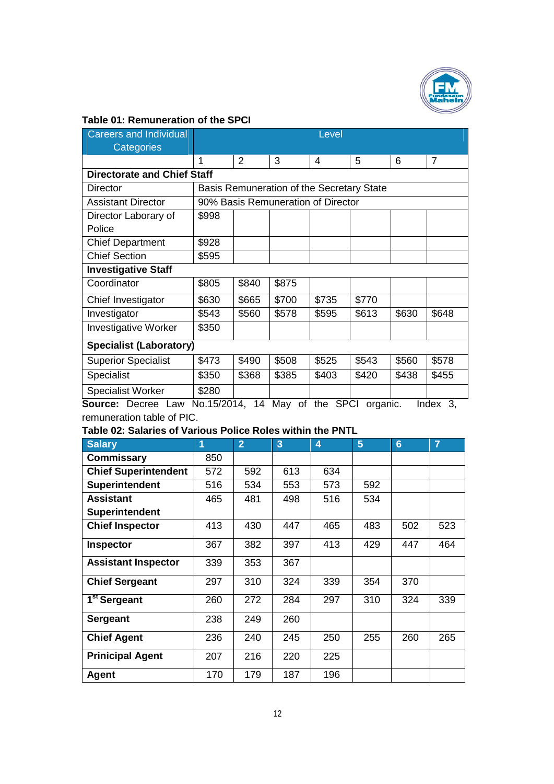

# **Table 01: Remuneration of the SPCI**

| <b>Careers and Individual</b>      | Level                                     |       |       |       |       |       |       |  |  |  |  |
|------------------------------------|-------------------------------------------|-------|-------|-------|-------|-------|-------|--|--|--|--|
| Categories                         |                                           |       |       |       |       |       |       |  |  |  |  |
|                                    |                                           | 2     | 3     | 4     | 5     | 6     | 7     |  |  |  |  |
| <b>Directorate and Chief Staff</b> |                                           |       |       |       |       |       |       |  |  |  |  |
| <b>Director</b>                    | Basis Remuneration of the Secretary State |       |       |       |       |       |       |  |  |  |  |
| <b>Assistant Director</b>          | 90% Basis Remuneration of Director        |       |       |       |       |       |       |  |  |  |  |
| Director Laborary of               | \$998                                     |       |       |       |       |       |       |  |  |  |  |
| Police                             |                                           |       |       |       |       |       |       |  |  |  |  |
| <b>Chief Department</b>            | \$928                                     |       |       |       |       |       |       |  |  |  |  |
| <b>Chief Section</b>               | \$595                                     |       |       |       |       |       |       |  |  |  |  |
| <b>Investigative Staff</b>         |                                           |       |       |       |       |       |       |  |  |  |  |
| Coordinator                        | \$805                                     | \$840 | \$875 |       |       |       |       |  |  |  |  |
| Chief Investigator                 | \$630                                     | \$665 | \$700 | \$735 | \$770 |       |       |  |  |  |  |
| Investigator                       | \$543                                     | \$560 | \$578 | \$595 | \$613 | \$630 | \$648 |  |  |  |  |
| <b>Investigative Worker</b>        | \$350                                     |       |       |       |       |       |       |  |  |  |  |
| <b>Specialist (Laboratory)</b>     |                                           |       |       |       |       |       |       |  |  |  |  |
| <b>Superior Specialist</b>         | \$473                                     | \$490 | \$508 | \$525 | \$543 | \$560 | \$578 |  |  |  |  |
| Specialist                         | \$350                                     | \$368 | \$385 | \$403 | \$420 | \$438 | \$455 |  |  |  |  |
| Specialist Worker                  | \$280                                     |       |       |       |       |       |       |  |  |  |  |

**Source:** Decree Law No.15/2014, 14 May of the SPCI organic. Index 3, remuneration table of PIC.

# **Table 02: Salaries of Various Police Roles within the PNTL**

| <b>Salary</b>               | 1   | $\overline{2}$ | 3   | $\overline{\mathbf{4}}$ | 5   | 6   | $\overline{7}$ |
|-----------------------------|-----|----------------|-----|-------------------------|-----|-----|----------------|
| Commissary                  | 850 |                |     |                         |     |     |                |
| <b>Chief Superintendent</b> | 572 | 592            | 613 | 634                     |     |     |                |
| <b>Superintendent</b>       | 516 | 534            | 553 | 573                     | 592 |     |                |
| <b>Assistant</b>            | 465 | 481            | 498 | 516                     | 534 |     |                |
| Superintendent              |     |                |     |                         |     |     |                |
| <b>Chief Inspector</b>      | 413 | 430            | 447 | 465                     | 483 | 502 | 523            |
| Inspector                   | 367 | 382            | 397 | 413                     | 429 | 447 | 464            |
| <b>Assistant Inspector</b>  | 339 | 353            | 367 |                         |     |     |                |
| <b>Chief Sergeant</b>       | 297 | 310            | 324 | 339                     | 354 | 370 |                |
| 1 <sup>st</sup> Sergeant    | 260 | 272            | 284 | 297                     | 310 | 324 | 339            |
| <b>Sergeant</b>             | 238 | 249            | 260 |                         |     |     |                |
| <b>Chief Agent</b>          | 236 | 240            | 245 | 250                     | 255 | 260 | 265            |
| <b>Prinicipal Agent</b>     | 207 | 216            | 220 | 225                     |     |     |                |
| Agent                       | 170 | 179            | 187 | 196                     |     |     |                |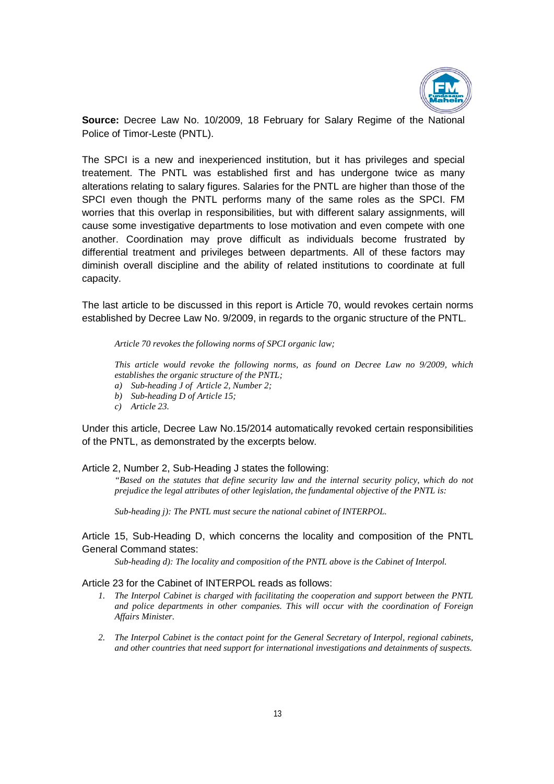

**Source:** Decree Law No. 10/2009, 18 February for Salary Regime of the National Police of Timor-Leste (PNTL).

The SPCI is a new and inexperienced institution, but it has privileges and special treatement. The PNTL was established first and has undergone twice as many alterations relating to salary figures. Salaries for the PNTL are higher than those of the SPCI even though the PNTL performs many of the same roles as the SPCI. FM worries that this overlap in responsibilities, but with different salary assignments, will cause some investigative departments to lose motivation and even compete with one another. Coordination may prove difficult as individuals become frustrated by differential treatment and privileges between departments. All of these factors may diminish overall discipline and the ability of related institutions to coordinate at full capacity.

The last article to be discussed in this report is Article 70, would revokes certain norms established by Decree Law No. 9/2009, in regards to the organic structure of the PNTL.

*Article 70 revokes the following norms of SPCI organic law;* 

*This article would revoke the following norms, as found on Decree Law no 9/2009, which establishes the organic structure of the PNTL;* 

- *a) Sub-heading J of Article 2, Number 2;*
- *b) Sub-heading D of Article 15;*
- *c) Article 23.*

Under this article, Decree Law No.15/2014 automatically revoked certain responsibilities of the PNTL, as demonstrated by the excerpts below.

Article 2, Number 2, Sub-Heading J states the following:

*"Based on the statutes that define security law and the internal security policy, which do not prejudice the legal attributes of other legislation, the fundamental objective of the PNTL is:*

*Sub-heading j): The PNTL must secure the national cabinet of INTERPOL.*

Article 15, Sub-Heading D, which concerns the locality and composition of the PNTL General Command states:

*Sub-heading d): The locality and composition of the PNTL above is the Cabinet of Interpol.*

Article 23 for the Cabinet of INTERPOL reads as follows:

- *1. The Interpol Cabinet is charged with facilitating the cooperation and support between the PNTL and police departments in other companies. This will occur with the coordination of Foreign Affairs Minister.*
- *2. The Interpol Cabinet is the contact point for the General Secretary of Interpol, regional cabinets, and other countries that need support for international investigations and detainments of suspects.*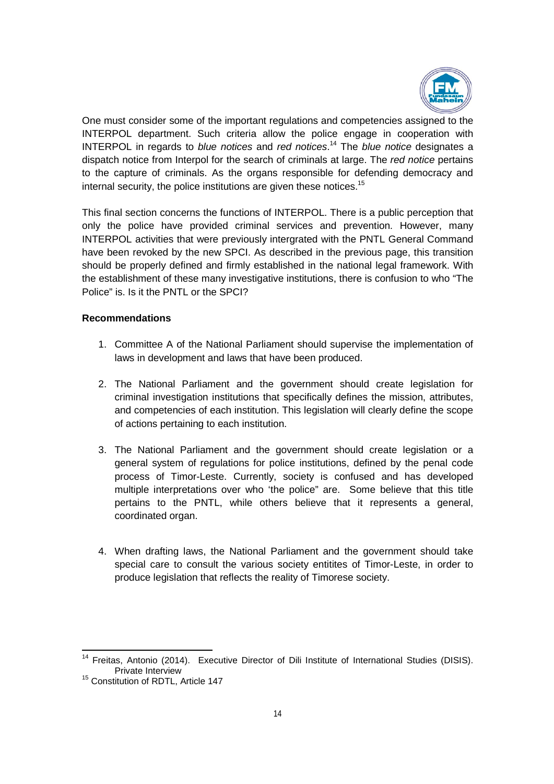

One must consider some of the important regulations and competencies assigned to the INTERPOL department. Such criteria allow the police engage in cooperation with INTERPOL in regards to *blue notices* and *red notices*. <sup>14</sup> The *blue notice* designates a dispatch notice from Interpol for the search of criminals at large. The *red notice* pertains to the capture of criminals. As the organs responsible for defending democracy and internal security, the police institutions are given these notices.<sup>15</sup>

This final section concerns the functions of INTERPOL. There is a public perception that only the police have provided criminal services and prevention. However, many INTERPOL activities that were previously intergrated with the PNTL General Command have been revoked by the new SPCI. As described in the previous page, this transition should be properly defined and firmly established in the national legal framework. With the establishment of these many investigative institutions, there is confusion to who "The Police" is. Is it the PNTL or the SPCI?

#### **Recommendations**

- 1. Committee A of the National Parliament should supervise the implementation of laws in development and laws that have been produced.
- 2. The National Parliament and the government should create legislation for criminal investigation institutions that specifically defines the mission, attributes, and competencies of each institution. This legislation will clearly define the scope of actions pertaining to each institution.
- 3. The National Parliament and the government should create legislation or a general system of regulations for police institutions, defined by the penal code process of Timor-Leste. Currently, society is confused and has developed multiple interpretations over who 'the police" are. Some believe that this title pertains to the PNTL, while others believe that it represents a general, coordinated organ.
- 4. When drafting laws, the National Parliament and the government should take special care to consult the various society entitites of Timor-Leste, in order to produce legislation that reflects the reality of Timorese society.

<sup>&</sup>lt;sup>14</sup> Freitas, Antonio (2014). Executive Director of Dili Institute of International Studies (DISIS). Private Interview

<sup>&</sup>lt;sup>15</sup> Constitution of RDTL, Article 147